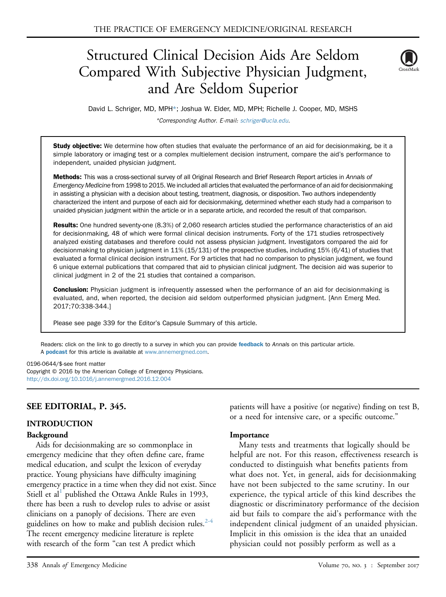# Structured Clinical Decision Aids Are Seldom Compared With Subjective Physician Judgment, and Are Seldom Superior



David L. Schriger, MD, MPH\*; Joshua W. Elder, MD, MPH; Richelle J. Cooper, MD, MSHS \*Corresponding Author. E-mail: [schriger@ucla.edu](mailto:schriger@ucla.edu).

Study objective: We determine how often studies that evaluate the performance of an aid for decisionmaking, be it a simple laboratory or imaging test or a complex multielement decision instrument, compare the aid's performance to independent, unaided physician judgment.

Methods: This was a cross-sectional survey of all Original Research and Brief Research Report articles in Annals of Emergency Medicine from 1998 to 2015. We included all articles that evaluated the performance of an aid for decisionmaking in assisting a physician with a decision about testing, treatment, diagnosis, or disposition. Two authors independently characterized the intent and purpose of each aid for decisionmaking, determined whether each study had a comparison to unaided physician judgment within the article or in a separate article, and recorded the result of that comparison.

Results: One hundred seventy-one (8.3%) of 2,060 research articles studied the performance characteristics of an aid for decisionmaking, 48 of which were formal clinical decision instruments. Forty of the 171 studies retrospectively analyzed existing databases and therefore could not assess physician judgment. Investigators compared the aid for decisionmaking to physician judgment in 11% (15/131) of the prospective studies, including 15% (6/41) of studies that evaluated a formal clinical decision instrument. For 9 articles that had no comparison to physician judgment, we found 6 unique external publications that compared that aid to physician clinical judgment. The decision aid was superior to clinical judgment in 2 of the 21 studies that contained a comparison.

**Conclusion:** Physician judgment is infrequently assessed when the performance of an aid for decisionmaking is evaluated, and, when reported, the decision aid seldom outperformed physician judgment. [Ann Emerg Med. 2017;70:338-344.]

Please see page 339 for the Editor's Capsule Summary of this article.

Readers: click on the link to go directly to a survey in which you can provide [feedback](https://www.surveymonkey.com/r/QQYVN5S) to Annals on this particular article. A **[podcast](http://annemergmed.com/content/podcast)** for this article is available at [www.annemergmed.com](http://www.annemergmed.com).

#### 0196-0644/\$-see front matter

Copyright © 2016 by the American College of Emergency Physicians. <http://dx.doi.org/10.1016/j.annemergmed.2016.12.004>

## SEE EDITORIAL, P. 345.

#### INTRODUCTION

#### Background

Aids for decisionmaking are so commonplace in emergency medicine that they often define care, frame medical education, and sculpt the lexicon of everyday practice. Young physicians have difficulty imagining emergency practice in a time when they did not exist. Since Stiell et al<sup>[1](#page-6-0)</sup> published the Ottawa Ankle Rules in 1993, there has been a rush to develop rules to advise or assist clinicians on a panoply of decisions. There are even guidelines on how to make and publish decision rules. $2-4$ The recent emergency medicine literature is replete with research of the form "can test A predict which

patients will have a positive (or negative) finding on test B, or a need for intensive care, or a specific outcome."

#### Importance

Many tests and treatments that logically should be helpful are not. For this reason, effectiveness research is conducted to distinguish what benefits patients from what does not. Yet, in general, aids for decisionmaking have not been subjected to the same scrutiny. In our experience, the typical article of this kind describes the diagnostic or discriminatory performance of the decision aid but fails to compare the aid's performance with the independent clinical judgment of an unaided physician. Implicit in this omission is the idea that an unaided physician could not possibly perform as well as a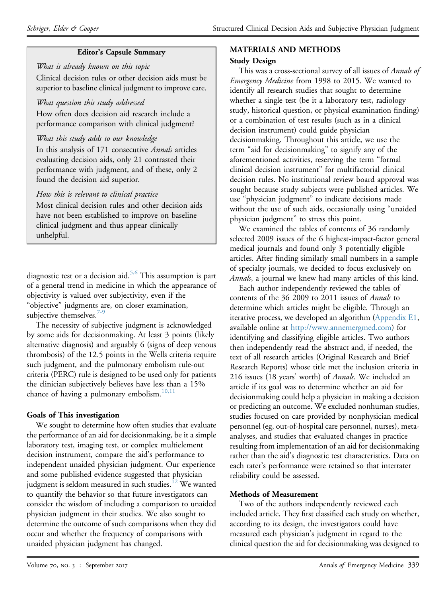## Editor's Capsule Summary

What is already known on this topic Clinical decision rules or other decision aids must be superior to baseline clinical judgment to improve care.

# What question this study addressed

How often does decision aid research include a performance comparison with clinical judgment?

# What this study adds to our knowledge

In this analysis of 171 consecutive Annals articles evaluating decision aids, only 21 contrasted their performance with judgment, and of these, only 2 found the decision aid superior.

# How this is relevant to clinical practice

Most clinical decision rules and other decision aids have not been established to improve on baseline clinical judgment and thus appear clinically unhelpful.

diagnostic test or a decision aid.<sup>5,6</sup> This assumption is part of a general trend in medicine in which the appearance of objectivity is valued over subjectivity, even if the "objective" judgments are, on closer examination, subjective themselves. $7-9$ 

The necessity of subjective judgment is acknowledged by some aids for decisionmaking. At least 3 points (likely alternative diagnosis) and arguably 6 (signs of deep venous thrombosis) of the 12.5 points in the Wells criteria require such judgment, and the pulmonary embolism rule-out criteria (PERC) rule is designed to be used only for patients the clinician subjectively believes have less than a 15% chance of having a pulmonary embolism. $10,11$ 

# Goals of This investigation

We sought to determine how often studies that evaluate the performance of an aid for decisionmaking, be it a simple laboratory test, imaging test, or complex multielement decision instrument, compare the aid's performance to independent unaided physician judgment. Our experience and some published evidence suggested that physician judgment is seldom measured in such studies.<sup>12</sup> We wanted to quantify the behavior so that future investigators can consider the wisdom of including a comparison to unaided physician judgment in their studies. We also sought to determine the outcome of such comparisons when they did occur and whether the frequency of comparisons with unaided physician judgment has changed.

# MATERIALS AND METHODS

## Study Design

This was a cross-sectional survey of all issues of Annals of Emergency Medicine from 1998 to 2015. We wanted to identify all research studies that sought to determine whether a single test (be it a laboratory test, radiology study, historical question, or physical examination finding) or a combination of test results (such as in a clinical decision instrument) could guide physician decisionmaking. Throughout this article, we use the term "aid for decisionmaking" to signify any of the aforementioned activities, reserving the term "formal clinical decision instrument" for multifactorial clinical decision rules. No institutional review board approval was sought because study subjects were published articles. We use "physician judgment" to indicate decisions made without the use of such aids, occasionally using "unaided physician judgment" to stress this point.

We examined the tables of contents of 36 randomly selected 2009 issues of the 6 highest-impact-factor general medical journals and found only 3 potentially eligible articles. After finding similarly small numbers in a sample of specialty journals, we decided to focus exclusively on Annals, a journal we knew had many articles of this kind.

Each author independently reviewed the tables of contents of the 36 2009 to 2011 issues of Annals to determine which articles might be eligible. Through an iterative process, we developed an algorithm [\(Appendix E1](#page-7-0), available online at [http://www.annemergmed.com\)](http://www.annemergmed.com) for identifying and classifying eligible articles. Two authors then independently read the abstract and, if needed, the text of all research articles (Original Research and Brief Research Reports) whose title met the inclusion criteria in 216 issues (18 years' worth) of Annals. We included an article if its goal was to determine whether an aid for decisionmaking could help a physician in making a decision or predicting an outcome. We excluded nonhuman studies, studies focused on care provided by nonphysician medical personnel (eg, out-of-hospital care personnel, nurses), metaanalyses, and studies that evaluated changes in practice resulting from implementation of an aid for decisionmaking rather than the aid's diagnostic test characteristics. Data on each rater's performance were retained so that interrater reliability could be assessed.

## Methods of Measurement

Two of the authors independently reviewed each included article. They first classified each study on whether, according to its design, the investigators could have measured each physician's judgment in regard to the clinical question the aid for decisionmaking was designed to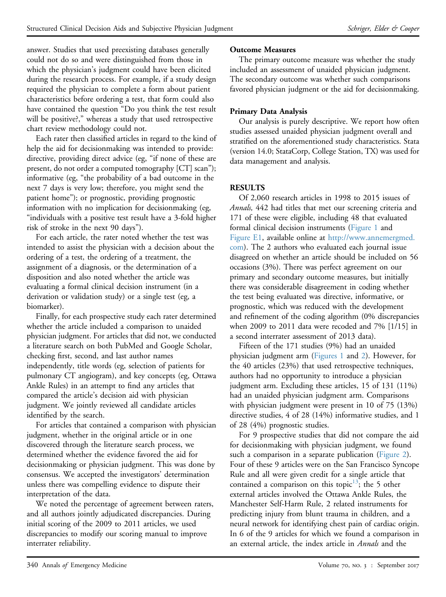answer. Studies that used preexisting databases generally could not do so and were distinguished from those in which the physician's judgment could have been elicited during the research process. For example, if a study design required the physician to complete a form about patient characteristics before ordering a test, that form could also have contained the question "Do you think the test result will be positive?," whereas a study that used retrospective chart review methodology could not.

Each rater then classified articles in regard to the kind of help the aid for decisionmaking was intended to provide: directive, providing direct advice (eg, "if none of these are present, do not order a computed tomography [CT] scan"); informative (eg, "the probability of a bad outcome in the next 7 days is very low; therefore, you might send the patient home"); or prognostic, providing prognostic information with no implication for decisionmaking (eg, "individuals with a positive test result have a 3-fold higher risk of stroke in the next 90 days").

For each article, the rater noted whether the test was intended to assist the physician with a decision about the ordering of a test, the ordering of a treatment, the assignment of a diagnosis, or the determination of a disposition and also noted whether the article was evaluating a formal clinical decision instrument (in a derivation or validation study) or a single test (eg, a biomarker).

Finally, for each prospective study each rater determined whether the article included a comparison to unaided physician judgment. For articles that did not, we conducted a literature search on both PubMed and Google Scholar, checking first, second, and last author names independently, title words (eg, selection of patients for pulmonary CT angiogram), and key concepts (eg, Ottawa Ankle Rules) in an attempt to find any articles that compared the article's decision aid with physician judgment. We jointly reviewed all candidate articles identified by the search.

For articles that contained a comparison with physician judgment, whether in the original article or in one discovered through the literature search process, we determined whether the evidence favored the aid for decisionmaking or physician judgment. This was done by consensus. We accepted the investigators' determination unless there was compelling evidence to dispute their interpretation of the data.

We noted the percentage of agreement between raters, and all authors jointly adjudicated discrepancies. During initial scoring of the 2009 to 2011 articles, we used discrepancies to modify our scoring manual to improve interrater reliability.

## Outcome Measures

The primary outcome measure was whether the study included an assessment of unaided physician judgment. The secondary outcome was whether such comparisons favored physician judgment or the aid for decisionmaking.

## Primary Data Analysis

Our analysis is purely descriptive. We report how often studies assessed unaided physician judgment overall and stratified on the aforementioned study characteristics. Stata (version 14.0; StataCorp, College Station, TX) was used for data management and analysis.

## RESULTS

Of 2,060 research articles in 1998 to 2015 issues of Annals, 442 had titles that met our screening criteria and 171 of these were eligible, including 48 that evaluated formal clinical decision instruments [\(Figure 1](#page-3-0) and [Figure E1,](#page-9-0) available online at [http://www.annemergmed.](http://www.annemergmed.com) [com\)](http://www.annemergmed.com). The 2 authors who evaluated each journal issue disagreed on whether an article should be included on 56 occasions (3%). There was perfect agreement on our primary and secondary outcome measures, but initially there was considerable disagreement in coding whether the test being evaluated was directive, informative, or prognostic, which was reduced with the development and refinement of the coding algorithm (0% discrepancies when 2009 to 2011 data were recoded and 7% [1/15] in a second interrater assessment of 2013 data).

Fifteen of the 171 studies (9%) had an unaided physician judgment arm ([Figures 1](#page-3-0) and [2](#page-4-0)). However, for the 40 articles (23%) that used retrospective techniques, authors had no opportunity to introduce a physician judgment arm. Excluding these articles, 15 of 131 (11%) had an unaided physician judgment arm. Comparisons with physician judgment were present in 10 of 75 (13%) directive studies, 4 of 28 (14%) informative studies, and 1 of 28 (4%) prognostic studies.

For 9 prospective studies that did not compare the aid for decisionmaking with physician judgment, we found such a comparison in a separate publication [\(Figure 2](#page-4-0)). Four of these 9 articles were on the San Francisco Syncope Rule and all were given credit for a single article that contained a comparison on this topic<sup>13</sup>; the 5 other external articles involved the Ottawa Ankle Rules, the Manchester Self-Harm Rule, 2 related instruments for predicting injury from blunt trauma in children, and a neural network for identifying chest pain of cardiac origin. In 6 of the 9 articles for which we found a comparison in an external article, the index article in Annals and the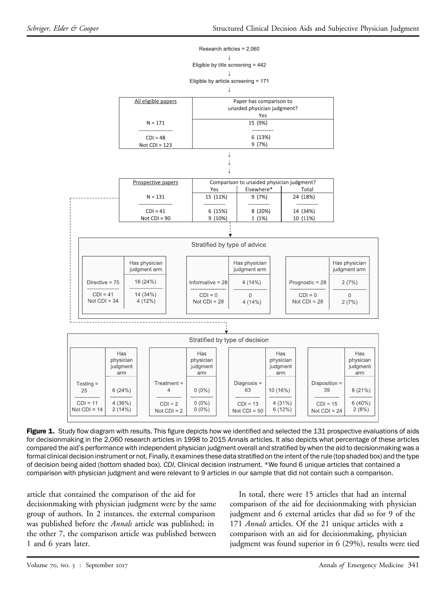<span id="page-3-0"></span>

Figure 1. Study flow diagram with results. This figure depicts how we identified and selected the 131 prospective evaluations of aids for decisionmaking in the 2,060 research articles in 1998 to 2015 Annals articles. It also depicts what percentage of these articles compared the aid's performance with independent physician judgment overall and stratified by when the aid to decisionmaking was a formal clinical decision instrument or not. Finally, it examines these data stratified on the intent of the rule (top shaded box) and the type of decision being aided (bottom shaded box). CDI, Clinical decision instrument. \*We found 6 unique articles that contained a comparison with physician judgment and were relevant to 9 articles in our sample that did not contain such a comparison.

article that contained the comparison of the aid for decisionmaking with physician judgment were by the same group of authors. In 2 instances, the external comparison was published before the *Annals* article was published; in the other 7, the comparison article was published between 1 and 6 years later.

In total, there were 15 articles that had an internal comparison of the aid for decisionmaking with physician judgment and 6 external articles that did so for 9 of the 171 Annals articles. Of the 21 unique articles with a comparison with an aid for decisionmaking, physician judgment was found superior in 6 (29%), results were tied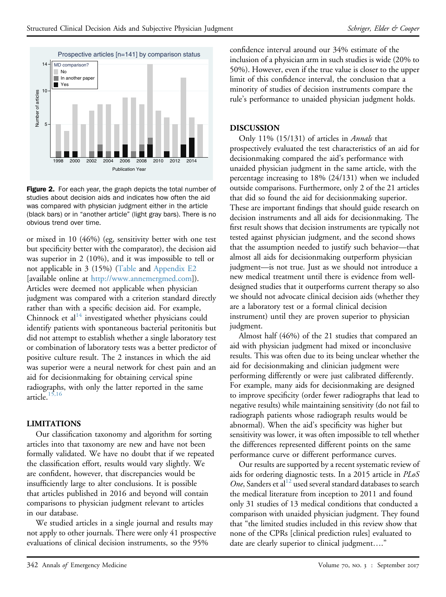<span id="page-4-0"></span>

Figure 2. For each year, the graph depicts the total number of studies about decision aids and indicates how often the aid was compared with physician judgment either in the article (black bars) or in "another article" (light gray bars). There is no obvious trend over time.

or mixed in 10 (46%) (eg, sensitivity better with one test but specificity better with the comparator), the decision aid was superior in 2 (10%), and it was impossible to tell or not applicable in 3 (15%) [\(Table](#page-5-0) and [Appendix E2](#page-7-1) [available online at [http://www.annemergmed.com\]](http://www.annemergmed.com)). Articles were deemed not applicable when physician judgment was compared with a criterion standard directly rather than with a specific decision aid. For example, Chinnock et al $14$  investigated whether physicians could identify patients with spontaneous bacterial peritonitis but did not attempt to establish whether a single laboratory test or combination of laboratory tests was a better predictor of positive culture result. The 2 instances in which the aid was superior were a neural network for chest pain and an aid for decisionmaking for obtaining cervical spine radiographs, with only the latter reported in the same article. $15,16$ 

# LIMITATIONS

Our classification taxonomy and algorithm for sorting articles into that taxonomy are new and have not been formally validated. We have no doubt that if we repeated the classification effort, results would vary slightly. We are confident, however, that discrepancies would be insufficiently large to alter conclusions. It is possible that articles published in 2016 and beyond will contain comparisons to physician judgment relevant to articles in our database.

We studied articles in a single journal and results may not apply to other journals. There were only 41 prospective evaluations of clinical decision instruments, so the 95%

confidence interval around our 34% estimate of the inclusion of a physician arm in such studies is wide (20% to 50%). However, even if the true value is closer to the upper limit of this confidence interval, the conclusion that a minority of studies of decision instruments compare the rule's performance to unaided physician judgment holds.

# DISCUSSION

Only 11% (15/131) of articles in Annals that prospectively evaluated the test characteristics of an aid for decisionmaking compared the aid's performance with unaided physician judgment in the same article, with the percentage increasing to 18% (24/131) when we included outside comparisons. Furthermore, only 2 of the 21 articles that did so found the aid for decisionmaking superior. These are important findings that should guide research on decision instruments and all aids for decisionmaking. The first result shows that decision instruments are typically not tested against physician judgment, and the second shows that the assumption needed to justify such behavior—that almost all aids for decisionmaking outperform physician judgment—is not true. Just as we should not introduce a new medical treatment until there is evidence from welldesigned studies that it outperforms current therapy so also we should not advocate clinical decision aids (whether they are a laboratory test or a formal clinical decision instrument) until they are proven superior to physician judgment.

Almost half (46%) of the 21 studies that compared an aid with physician judgment had mixed or inconclusive results. This was often due to its being unclear whether the aid for decisionmaking and clinician judgment were performing differently or were just calibrated differently. For example, many aids for decisionmaking are designed to improve specificity (order fewer radiographs that lead to negative results) while maintaining sensitivity (do not fail to radiograph patients whose radiograph results would be abnormal). When the aid's specificity was higher but sensitivity was lower, it was often impossible to tell whether the differences represented different points on the same performance curve or different performance curves.

Our results are supported by a recent systematic review of aids for ordering diagnostic tests. In a 2015 article in PLoS One, Sanders et al $^{12}$  $^{12}$  $^{12}$  used several standard databases to search the medical literature from inception to 2011 and found only 31 studies of 13 medical conditions that conducted a comparison with unaided physician judgment. They found that "the limited studies included in this review show that none of the CPRs [clinical prediction rules] evaluated to date are clearly superior to clinical judgment...."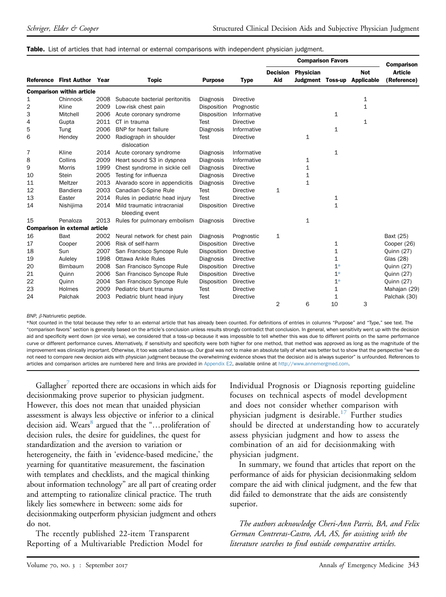|    | <b>Reference First Author</b>         | Year | <b>Topic</b>                                  | <b>Purpose</b> | <b>Type</b>      | <b>Comparison Favors</b> |                                             |              |                                 | <b>Comparison</b>             |
|----|---------------------------------------|------|-----------------------------------------------|----------------|------------------|--------------------------|---------------------------------------------|--------------|---------------------------------|-------------------------------|
|    |                                       |      |                                               |                |                  | <b>Decision</b><br>Aid   | <b>Physician</b><br><b>Judgment Toss-up</b> |              | <b>Not</b><br><b>Applicable</b> | <b>Article</b><br>(Reference) |
|    | <b>Comparison within article</b>      |      |                                               |                |                  |                          |                                             |              |                                 |                               |
| 1  | Chinnock                              | 2008 | Subacute bacterial peritonitis                | Diagnosis      | Directive        |                          |                                             |              | $\mathbf 1$                     |                               |
| 2  | Kline                                 | 2009 | Low-risk chest pain                           | Disposition    | Prognostic       |                          |                                             |              | $\mathbf 1$                     |                               |
| 3  | Mitchell                              | 2006 | Acute coronary syndrome                       | Disposition    | Informative      |                          |                                             | 1            |                                 |                               |
| 4  | Gupta                                 | 2011 | CT in trauma                                  | Test           | <b>Directive</b> |                          |                                             |              | $\mathbf 1$                     |                               |
| 5  | Tung                                  | 2006 | BNP for heart failure                         | Diagnosis      | Informative      |                          |                                             | $\mathbf{1}$ |                                 |                               |
| 6  | Hendey                                | 2000 | Radiograph in shoulder<br>dislocation         | Test           | Directive        |                          | $\mathbf 1$                                 |              |                                 |                               |
| 7  | Kline                                 | 2014 | Acute coronary syndrome                       | Diagnosis      | Informative      |                          |                                             | $\mathbf{1}$ |                                 |                               |
| 8  | Collins                               | 2009 | Heart sound S3 in dyspnea                     | Diagnosis      | Informative      |                          | 1                                           |              |                                 |                               |
| 9  | Morris                                | 1999 | Chest syndrome in sickle cell                 | Diagnosis      | Directive        |                          | 1                                           |              |                                 |                               |
| 10 | <b>Stein</b>                          | 2005 | Testing for influenza                         | Diagnosis      | Directive        |                          | $\mathbf 1$                                 |              |                                 |                               |
| 11 | Meltzer                               | 2013 | Alvarado score in appendicitis                | Diagnosis      | Directive        |                          | $\mathbf{1}$                                |              |                                 |                               |
| 12 | Bandiera                              | 2003 | Canadian C-Spine Rule                         | <b>Test</b>    | Directive        | 1                        |                                             |              |                                 |                               |
| 13 | Easter                                | 2014 | Rules in pediatric head injury                | <b>Test</b>    | <b>Directive</b> |                          |                                             | 1            |                                 |                               |
| 14 | Nishijima                             | 2014 | Mild traumatic intracranial<br>bleeding event | Disposition    | Directive        |                          |                                             | $\mathbf{1}$ |                                 |                               |
| 15 | Penaloza                              | 2013 | Rules for pulmonary embolism                  | Diagnosis      | Directive        |                          | $\mathbf{1}$                                |              |                                 |                               |
|    | <b>Comparison in external article</b> |      |                                               |                |                  |                          |                                             |              |                                 |                               |
| 16 | Baxt                                  | 2002 | Neural network for chest pain                 | Diagnosis      | Prognostic       | 1                        |                                             |              |                                 | Baxt (25)                     |
| 17 | Cooper                                | 2006 | Risk of self-harm                             | Disposition    | Directive        |                          |                                             | 1            |                                 | Cooper (26)                   |
| 18 | Sun                                   | 2007 | San Francisco Syncope Rule                    | Disposition    | Directive        |                          |                                             | 1            |                                 | <b>Quinn (27)</b>             |
| 19 | Auleley                               | 1998 | Ottawa Ankle Rules                            | Diagnosis      | <b>Directive</b> |                          |                                             | $\mathbf{1}$ |                                 | Glas (28)                     |
| 20 | Birnbaum                              | 2008 | San Francisco Syncope Rule                    | Disposition    | Directive        |                          |                                             | $1*$         |                                 | <b>Quinn (27)</b>             |
| 21 | Quinn                                 | 2006 | San Francisco Syncope Rule                    | Disposition    | Directive        |                          |                                             | $1*$         |                                 | Quinn (27)                    |
| 22 | Quinn                                 | 2004 | San Francisco Syncope Rule                    | Disposition    | Directive        |                          |                                             | $1*$         |                                 | Quinn (27)                    |
| 23 | Holmes                                | 2009 | Pediatric blunt trauma                        | Test           | <b>Directive</b> |                          |                                             | $\mathbf{1}$ |                                 | Mahajan (29)                  |
| 24 | Palchak                               | 2003 | Pediatric blunt head injury                   | Test           | Directive        |                          |                                             | 1            |                                 | Palchak (30)                  |
|    |                                       |      |                                               |                |                  | $\overline{2}$           | 6                                           | 10           | 3                               |                               |

Table. List of articles that had internal or external comparisons with independent physician judgment.

<span id="page-5-0"></span>BNP,  $\beta$ -Natriuretic peptide.

<span id="page-5-1"></span>\*Not counted in the total because they refer to an external article that has already been counted. For definitions of entries in columns "Purpose" and "Type," see text. The "comparison favors" section is generally based on the article's conclusion unless results strongly contradict that conclusion. In general, when sensitivity went up with the decision aid and specificity went down (or vice versa), we considered that a toss-up because it was impossible to tell whether this was due to different points on the same performance curve or different performance curves. Alternatively, if sensitivity and specificity were both higher for one method, that method was approved as long as the magnitude of the improvement was clinically important. Otherwise, it too was called a toss-up. Our goal was not to make an absolute tally of what was better but to show that the perspective "we do not need to compare new decision aids with physician judgment because the overwhelming evidence shows that the decision aid is always superior" is unfounded. References to articles and comparison articles are numbered here and links are provided in [Appendix E2,](#page-7-1) available online at <http://www.annemergmed.com>.

Gallagher reported there are occasions in which aids for decisionmaking prove superior to physician judgment. However, this does not mean that unaided physician assessment is always less objective or inferior to a clinical decision aid. Wears<sup>8</sup> argued that the "...proliferation of decision rules, the desire for guidelines, the quest for standardization and the aversion to variation or heterogeneity, the faith in 'evidence-based medicine,' the yearning for quantitative measurement, the fascination with templates and checklists, and the magical thinking about information technology" are all part of creating order and attempting to rationalize clinical practice. The truth likely lies somewhere in between: some aids for decisionmaking outperform physician judgment and others do not.

The recently published 22-item Transparent Reporting of a Multivariable Prediction Model for Individual Prognosis or Diagnosis reporting guideline focuses on technical aspects of model development and does not consider whether comparison with physician judgment is desirable.<sup>[17](#page-6-10)</sup> Further studies should be directed at understanding how to accurately assess physician judgment and how to assess the combination of an aid for decisionmaking with physician judgment.

In summary, we found that articles that report on the performance of aids for physician decisionmaking seldom compare the aid with clinical judgment, and the few that did failed to demonstrate that the aids are consistently superior.

The authors acknowledge Cheri-Ann Parris, BA, and Felix German Contreras-Castro, AA, AS, for assisting with the literature searches to find outside comparative articles.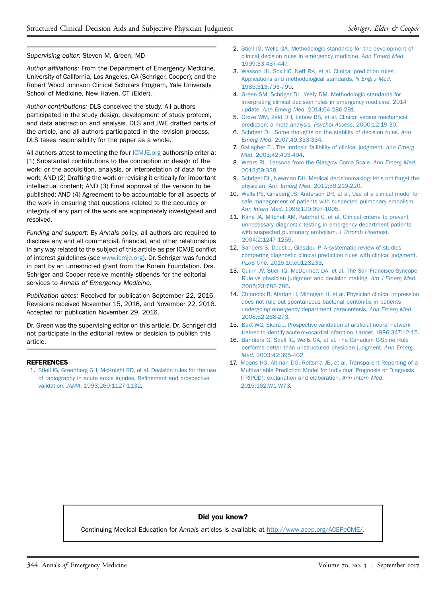#### Supervising editor: Steven M. Green, MD

Author affiliations: From the Department of Emergency Medicine, University of California, Los Angeles, CA (Schriger, Cooper); and the Robert Wood Johnson Clinical Scholars Program, Yale University School of Medicine, New Haven, CT (Elder).

Author contributions: DLS conceived the study. All authors participated in the study design, development of study protocol, and data abstraction and analysis. DLS and JWE drafted parts of the article, and all authors participated in the revision process. DLS takes responsibility for the paper as a whole.

All authors attest to meeting the four [ICMJE.org](http://ICMJE.org) authorship criteria: (1) Substantial contributions to the conception or design of the work; or the acquisition, analysis, or interpretation of data for the work; AND (2) Drafting the work or revising it critically for important intellectual content; AND (3) Final approval of the version to be published; AND (4) Agreement to be accountable for all aspects of the work in ensuring that questions related to the accuracy or integrity of any part of the work are appropriately investigated and resolved.

Funding and support: By Annals policy, all authors are required to disclose any and all commercial, financial, and other relationships in any way related to the subject of this article as per ICMJE conflict of interest guidelines (see [www.icmje.org](http://www.icmje.org/)). Dr. Schriger was funded in part by an unrestricted grant from the Korein Foundation. Drs. Schriger and Cooper receive monthly stipends for the editorial services to Annals of Emergency Medicine.

Publication dates: Received for publication September 22, 2016. Revisions received November 15, 2016, and November 22, 2016. Accepted for publication November 29, 2016.

Dr. Green was the supervising editor on this article. Dr. Schriger did not participate in the editorial review or decision to publish this article.

#### REFERENCES

<span id="page-6-0"></span>1. [Stiell IG, Greenberg GH, McKnight RD, et al. Decision rules for the use](http://refhub.elsevier.com/S0196-0644(16)31520-7/sref1) [of radiography in acute ankle injuries. Re](http://refhub.elsevier.com/S0196-0644(16)31520-7/sref1)finement and prospective validation. JAMA[. 1993;269:1127-1132.](http://refhub.elsevier.com/S0196-0644(16)31520-7/sref1)

- <span id="page-6-1"></span>2. [Stiell IG, Wells GA. Methodologic standards for the development of](http://refhub.elsevier.com/S0196-0644(16)31520-7/sref2) [clinical decision rules in emergency medicine.](http://refhub.elsevier.com/S0196-0644(16)31520-7/sref2) Ann Emerg Med. [1999;33:437-447.](http://refhub.elsevier.com/S0196-0644(16)31520-7/sref2)
- 3. [Wasson JH, Sox HC, Neff RK, et al. Clinical prediction rules.](http://refhub.elsevier.com/S0196-0644(16)31520-7/sref3) [Applications and methodological standards.](http://refhub.elsevier.com/S0196-0644(16)31520-7/sref3) N Engl J Med. [1985;313:793-799.](http://refhub.elsevier.com/S0196-0644(16)31520-7/sref3)
- 4. [Green SM, Schriger DL, Yealy DM. Methodologic standards for](http://refhub.elsevier.com/S0196-0644(16)31520-7/sref4) [interpreting clinical decision rules in emergency medicine: 2014](http://refhub.elsevier.com/S0196-0644(16)31520-7/sref4) update. Ann Emerg Med[. 2014;64:286-291.](http://refhub.elsevier.com/S0196-0644(16)31520-7/sref4)
- <span id="page-6-2"></span>5. [Grove WM, Zald DH, Lebow BS, et al. Clinical versus mechanical](http://refhub.elsevier.com/S0196-0644(16)31520-7/sref5) [prediction: a meta-analysis.](http://refhub.elsevier.com/S0196-0644(16)31520-7/sref5) Psychol Assess. 2000;12:19-30.
- 6. [Schriger DL. Some thoughts on the stability of decision rules.](http://refhub.elsevier.com/S0196-0644(16)31520-7/sref6) Ann Emerg Med[. 2007;49:333-334.](http://refhub.elsevier.com/S0196-0644(16)31520-7/sref6)
- <span id="page-6-3"></span>7. [Gallagher EJ. The intrinsic fallibility of clinical judgment.](http://refhub.elsevier.com/S0196-0644(16)31520-7/sref7) Ann Emerg Med[. 2003;42:403-404](http://refhub.elsevier.com/S0196-0644(16)31520-7/sref7).
- <span id="page-6-9"></span>8. [Wears RL. Lessons from the Glasgow Coma Scale.](http://refhub.elsevier.com/S0196-0644(16)31520-7/sref8) Ann Emerg Med. [2012;59:338](http://refhub.elsevier.com/S0196-0644(16)31520-7/sref8).
- 9. [Schriger DL, Newman DH. Medical decisionmaking: let](http://refhub.elsevier.com/S0196-0644(16)31520-7/sref9)'s not forget the physician. Ann Emerg Med[. 2012;59:219-220.](http://refhub.elsevier.com/S0196-0644(16)31520-7/sref9)
- <span id="page-6-4"></span>10. [Wells PS, Ginsberg JS, Anderson DR, et al. Use of a clinical model for](http://refhub.elsevier.com/S0196-0644(16)31520-7/sref10) [safe management of patients with suspected pulmonary embolism.](http://refhub.elsevier.com/S0196-0644(16)31520-7/sref10) Ann Intern Med[. 1998;129:997-1005.](http://refhub.elsevier.com/S0196-0644(16)31520-7/sref10)
- 11. [Kline JA, Mitchell AM, Kabrhel C, et al. Clinical criteria to prevent](http://refhub.elsevier.com/S0196-0644(16)31520-7/sref11) [unnecessary diagnostic testing in emergency department patients](http://refhub.elsevier.com/S0196-0644(16)31520-7/sref11) [with suspected pulmonary embolism.](http://refhub.elsevier.com/S0196-0644(16)31520-7/sref11) J Thromb Haemost. [2004;2:1247-1255.](http://refhub.elsevier.com/S0196-0644(16)31520-7/sref11)
- <span id="page-6-5"></span>12. [Sanders S, Doust J, Glasziou P. A systematic review of studies](http://refhub.elsevier.com/S0196-0644(16)31520-7/sref12) [comparing diagnostic clinical prediction rules with clinical judgment.](http://refhub.elsevier.com/S0196-0644(16)31520-7/sref12) PLoS One[. 2015;10:e0128233](http://refhub.elsevier.com/S0196-0644(16)31520-7/sref12).
- <span id="page-6-6"></span>13. [Quinn JV, Stiell IG, McDermott DA, et al. The San Francisco Syncope](http://refhub.elsevier.com/S0196-0644(16)31520-7/sref13) [Rule vs physician judgment and decision making.](http://refhub.elsevier.com/S0196-0644(16)31520-7/sref13) Am J Emerg Med. [2005;23:782-786.](http://refhub.elsevier.com/S0196-0644(16)31520-7/sref13)
- <span id="page-6-7"></span>14. [Chinnock B, Afarian H, Minnigan H, et al. Physician clinical impression](http://refhub.elsevier.com/S0196-0644(16)31520-7/sref14) [does not rule out spontaneous bacterial peritonitis in patients](http://refhub.elsevier.com/S0196-0644(16)31520-7/sref14) [undergoing emergency department paracentesis.](http://refhub.elsevier.com/S0196-0644(16)31520-7/sref14) Ann Emerg Med. [2008;52:268-273](http://refhub.elsevier.com/S0196-0644(16)31520-7/sref14).
- <span id="page-6-8"></span>15. [Baxt WG, Skora J. Prospective validation of arti](http://refhub.elsevier.com/S0196-0644(16)31520-7/sref15)ficial neural network [trained to identify acute myocardial infarction.](http://refhub.elsevier.com/S0196-0644(16)31520-7/sref15) Lancet. 1996;347:12-15.
- 16. [Bandiera G, Stiell IG, Wells GA, et al. The Canadian C-Spine Rule](http://refhub.elsevier.com/S0196-0644(16)31520-7/sref16) [performs better than unstructured physician judgment.](http://refhub.elsevier.com/S0196-0644(16)31520-7/sref16) Ann Emerg Med[. 2003;42:395-402.](http://refhub.elsevier.com/S0196-0644(16)31520-7/sref16)
- <span id="page-6-10"></span>17. [Moons KG, Altman DG, Reitsma JB, et al. Transparent Reporting of a](http://refhub.elsevier.com/S0196-0644(16)31520-7/sref17) [Multivariable Prediction Model for Individual Prognosis or Diagnosis](http://refhub.elsevier.com/S0196-0644(16)31520-7/sref17) [\(TRIPOD\): explanation and elaboration.](http://refhub.elsevier.com/S0196-0644(16)31520-7/sref17) Ann Intern Med. [2015;162:W1-W73.](http://refhub.elsevier.com/S0196-0644(16)31520-7/sref17)

#### Did you know?

Continuing Medical Education for Annals articles is available at <http://www.acep.org/ACEPeCME/>.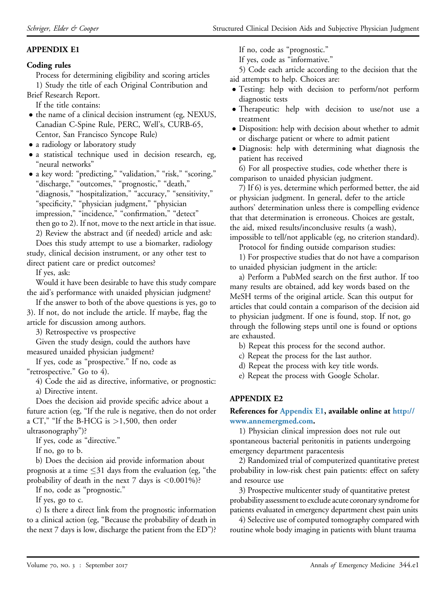# <span id="page-7-0"></span>APPENDIX E1

### Coding rules

Process for determining eligibility and scoring articles 1) Study the title of each Original Contribution and

Brief Research Report. If the title contains:

- $\bullet$  the name of a clinical decision instrument (eg, NEXUS, Canadian C-Spine Rule, PERC, Well's, CURB-65, Centor, San Francisco Syncope Rule)
- 
- a radiology or laboratory study
- a statistical technique used in decision research, eg, "neural networks"
- a key word: "predicting," "validation," "risk," "scoring," "discharge," "outcomes," "prognostic," "death," "diagnosis," "hospitalization," "accuracy," "sensitivity," "specificity," "physician judgment," "physician impression," "incidence," "confirmation," "detect" then go to 2). If not, move to the next article in that issue. 2) Review the abstract and (if needed) article and ask: Does this study attempt to use a biomarker, radiology

study, clinical decision instrument, or any other test to direct patient care or predict outcomes?

If yes, ask:

Would it have been desirable to have this study compare the aid's performance with unaided physician judgment?

If the answer to both of the above questions is yes, go to 3). If not, do not include the article. If maybe, flag the article for discussion among authors.

3) Retrospective vs prospective

Given the study design, could the authors have measured unaided physician judgment?

If yes, code as "prospective." If no, code as "retrospective." Go to 4).

4) Code the aid as directive, informative, or prognostic:

a) Directive intent.

Does the decision aid provide specific advice about a future action (eg, "If the rule is negative, then do not order a CT," "If the B-HCG is >1,500, then order

ultrasonography")?

If yes, code as "directive."

If no, go to b.

b) Does the decision aid provide information about prognosis at a time  $\leq$ 31 days from the evaluation (eg, "the probability of death in the next  $7$  days is  $\leq 0.001\%$ ?

If no, code as "prognostic."

If yes, go to c.

c) Is there a direct link from the prognostic information to a clinical action (eg, "Because the probability of death in the next 7 days is low, discharge the patient from the ED")? If no, code as "prognostic."

If yes, code as "informative."

5) Code each article according to the decision that the aid attempts to help. Choices are:

- Testing: help with decision to perform/not perform diagnostic tests
- Therapeutic: help with decision to use/not use a treatment
- Disposition: help with decision about whether to admit or discharge patient or where to admit patient
- Diagnosis: help with determining what diagnosis the patient has received

6) For all prospective studies, code whether there is comparison to unaided physician judgment.

7) If 6) is yes, determine which performed better, the aid or physician judgment. In general, defer to the article authors' determination unless there is compelling evidence that that determination is erroneous. Choices are gestalt, the aid, mixed results/inconclusive results (a wash),

impossible to tell/not applicable (eg, no criterion standard). Protocol for finding outside comparison studies:

1) For prospective studies that do not have a comparison to unaided physician judgment in the article:

a) Perform a PubMed search on the first author. If too many results are obtained, add key words based on the MeSH terms of the original article. Scan this output for articles that could contain a comparison of the decision aid to physician judgment. If one is found, stop. If not, go through the following steps until one is found or options are exhausted.

b) Repeat this process for the second author.

c) Repeat the process for the last author.

d) Repeat the process with key title words.

e) Repeat the process with Google Scholar.

# <span id="page-7-1"></span>APPENDIX E2

#### References for [Appendix E1](#page-7-0), available online at [http://](http://www.annemergmed.com) [www.annemergmed.com.](http://www.annemergmed.com)

1) Physician clinical impression does not rule out spontaneous bacterial peritonitis in patients undergoing emergency department paracentesis

2) Randomized trial of computerized quantitative pretest probability in low-risk chest pain patients: effect on safety and resource use

3) Prospective multicenter study of quantitative pretest probability assessment to exclude acute coronary syndrome for patients evaluated in emergency department chest pain units

4) Selective use of computed tomography compared with routine whole body imaging in patients with blunt trauma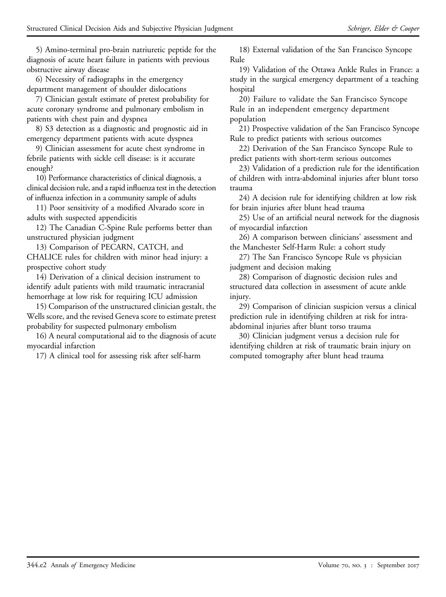5) Amino-terminal pro-brain natriuretic peptide for the diagnosis of acute heart failure in patients with previous obstructive airway disease

6) Necessity of radiographs in the emergency department management of shoulder dislocations

7) Clinician gestalt estimate of pretest probability for acute coronary syndrome and pulmonary embolism in patients with chest pain and dyspnea

8) S3 detection as a diagnostic and prognostic aid in emergency department patients with acute dyspnea

9) Clinician assessment for acute chest syndrome in febrile patients with sickle cell disease: is it accurate enough?

10) Performance characteristics of clinical diagnosis, a clinical decision rule, and a rapid influenza test in the detection of influenza infection in a community sample of adults

11) Poor sensitivity of a modified Alvarado score in adults with suspected appendicitis

12) The Canadian C-Spine Rule performs better than unstructured physician judgment

13) Comparison of PECARN, CATCH, and CHALICE rules for children with minor head injury: a prospective cohort study

14) Derivation of a clinical decision instrument to identify adult patients with mild traumatic intracranial hemorrhage at low risk for requiring ICU admission

15) Comparison of the unstructured clinician gestalt, the Wells score, and the revised Geneva score to estimate pretest probability for suspected pulmonary embolism

16) A neural computational aid to the diagnosis of acute myocardial infarction

17) A clinical tool for assessing risk after self-harm

18) External validation of the San Francisco Syncope Rule

19) Validation of the Ottawa Ankle Rules in France: a study in the surgical emergency department of a teaching hospital

20) Failure to validate the San Francisco Syncope Rule in an independent emergency department population

21) Prospective validation of the San Francisco Syncope Rule to predict patients with serious outcomes

22) Derivation of the San Francisco Syncope Rule to predict patients with short-term serious outcomes

23) Validation of a prediction rule for the identification of children with intra-abdominal injuries after blunt torso trauma

24) A decision rule for identifying children at low risk for brain injuries after blunt head trauma

25) Use of an artificial neural network for the diagnosis of myocardial infarction

26) A comparison between clinicians' assessment and the Manchester Self-Harm Rule: a cohort study

27) The San Francisco Syncope Rule vs physician judgment and decision making

28) Comparison of diagnostic decision rules and structured data collection in assessment of acute ankle injury.

29) Comparison of clinician suspicion versus a clinical prediction rule in identifying children at risk for intraabdominal injuries after blunt torso trauma

30) Clinician judgment versus a decision rule for identifying children at risk of traumatic brain injury on computed tomography after blunt head trauma